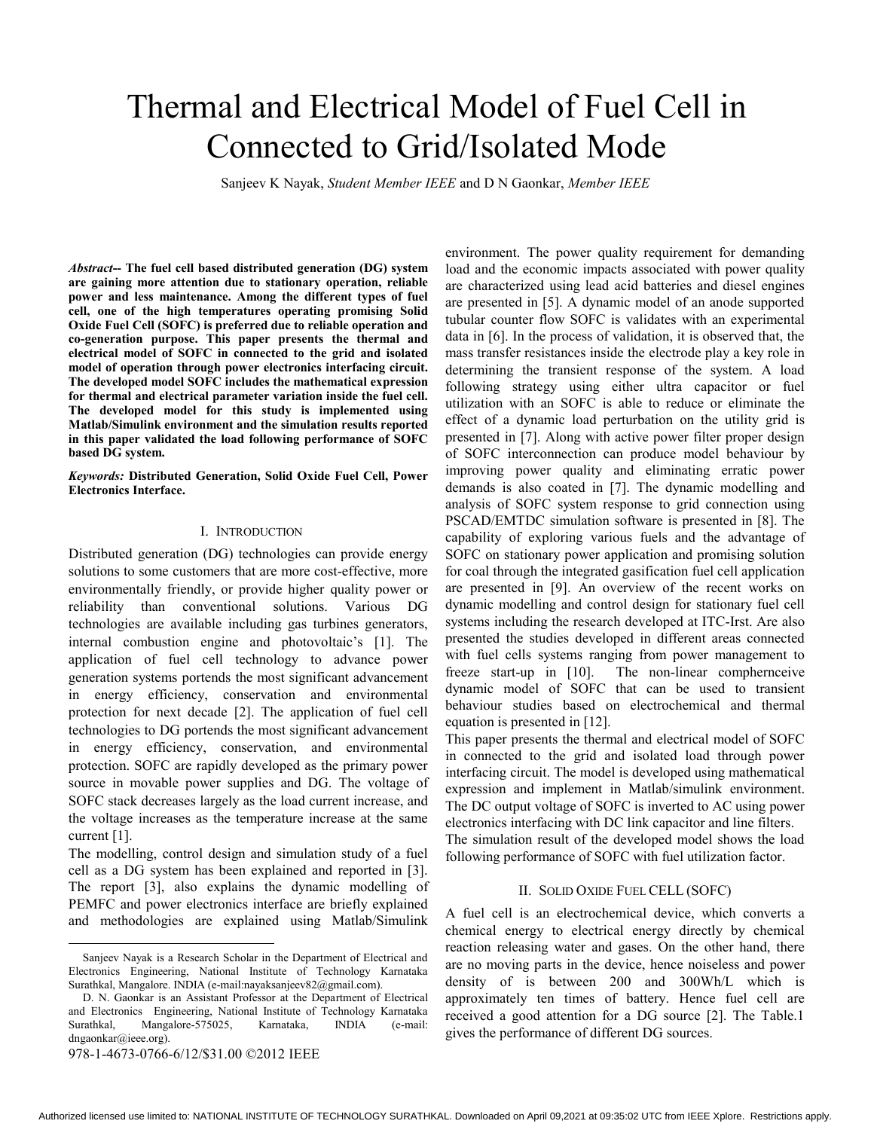# Thermal and Electrical Model of Fuel Cell in Connected to Grid/Isolated Mode

Sanjeev K Nayak, *Student Member IEEE* and D N Gaonkar, *Member IEEE* 

*Abstract***-- The fuel cell based distributed generation (DG) system are gaining more attention due to stationary operation, reliable power and less maintenance. Among the different types of fuel cell, one of the high temperatures operating promising Solid Oxide Fuel Cell (SOFC) is preferred due to reliable operation and co-generation purpose. This paper presents the thermal and electrical model of SOFC in connected to the grid and isolated model of operation through power electronics interfacing circuit. The developed model SOFC includes the mathematical expression for thermal and electrical parameter variation inside the fuel cell. The developed model for this study is implemented using Matlab/Simulink environment and the simulation results reported in this paper validated the load following performance of SOFC based DG system.** 

*Keywords:* **Distributed Generation, Solid Oxide Fuel Cell, Power Electronics Interface.** 

## I. INTRODUCTION

Distributed generation (DG) technologies can provide energy solutions to some customers that are more cost-effective, more environmentally friendly, or provide higher quality power or reliability than conventional solutions. Various DG technologies are available including gas turbines generators, internal combustion engine and photovoltaic's [1]. The application of fuel cell technology to advance power generation systems portends the most significant advancement in energy efficiency, conservation and environmental protection for next decade [2]. The application of fuel cell technologies to DG portends the most significant advancement in energy efficiency, conservation, and environmental protection. SOFC are rapidly developed as the primary power source in movable power supplies and DG. The voltage of SOFC stack decreases largely as the load current increase, and the voltage increases as the temperature increase at the same current [1].

The modelling, control design and simulation study of a fuel cell as a DG system has been explained and reported in [3]. The report [3], also explains the dynamic modelling of PEMFC and power electronics interface are briefly explained and methodologies are explained using Matlab/Simulink

978-1-4673-0766-6/12/\$31.00 ©2012 IEEE

 $\overline{a}$ 

environment. The power quality requirement for demanding load and the economic impacts associated with power quality are characterized using lead acid batteries and diesel engines are presented in [5]. A dynamic model of an anode supported tubular counter flow SOFC is validates with an experimental data in [6]. In the process of validation, it is observed that, the mass transfer resistances inside the electrode play a key role in determining the transient response of the system. A load following strategy using either ultra capacitor or fuel utilization with an SOFC is able to reduce or eliminate the effect of a dynamic load perturbation on the utility grid is presented in [7]. Along with active power filter proper design of SOFC interconnection can produce model behaviour by improving power quality and eliminating erratic power demands is also coated in [7]. The dynamic modelling and analysis of SOFC system response to grid connection using PSCAD/EMTDC simulation software is presented in [8]. The capability of exploring various fuels and the advantage of SOFC on stationary power application and promising solution for coal through the integrated gasification fuel cell application are presented in [9]. An overview of the recent works on dynamic modelling and control design for stationary fuel cell systems including the research developed at ITC-Irst. Are also presented the studies developed in different areas connected with fuel cells systems ranging from power management to freeze start-up in [10]. The non-linear comphernceive dynamic model of SOFC that can be used to transient behaviour studies based on electrochemical and thermal equation is presented in [12].

This paper presents the thermal and electrical model of SOFC in connected to the grid and isolated load through power interfacing circuit. The model is developed using mathematical expression and implement in Matlab/simulink environment. The DC output voltage of SOFC is inverted to AC using power electronics interfacing with DC link capacitor and line filters. The simulation result of the developed model shows the load

following performance of SOFC with fuel utilization factor.

# II. SOLID OXIDE FUEL CELL (SOFC)

A fuel cell is an electrochemical device, which converts a chemical energy to electrical energy directly by chemical reaction releasing water and gases. On the other hand, there are no moving parts in the device, hence noiseless and power density of is between 200 and 300Wh/L which is approximately ten times of battery. Hence fuel cell are received a good attention for a DG source [2]. The Table.1 gives the performance of different DG sources.

Sanjeev Nayak is a Research Scholar in the Department of Electrical and Electronics Engineering, National Institute of Technology Karnataka Surathkal, Mangalore. INDIA (e-mail:nayaksanjeev82@gmail.com).

D. N. Gaonkar is an Assistant Professor at the Department of Electrical and Electronics Engineering, National Institute of Technology Karnataka Surathkal, Mangalore-575025, Karnataka, INDIA (e-mail: dngaonkar@ieee.org).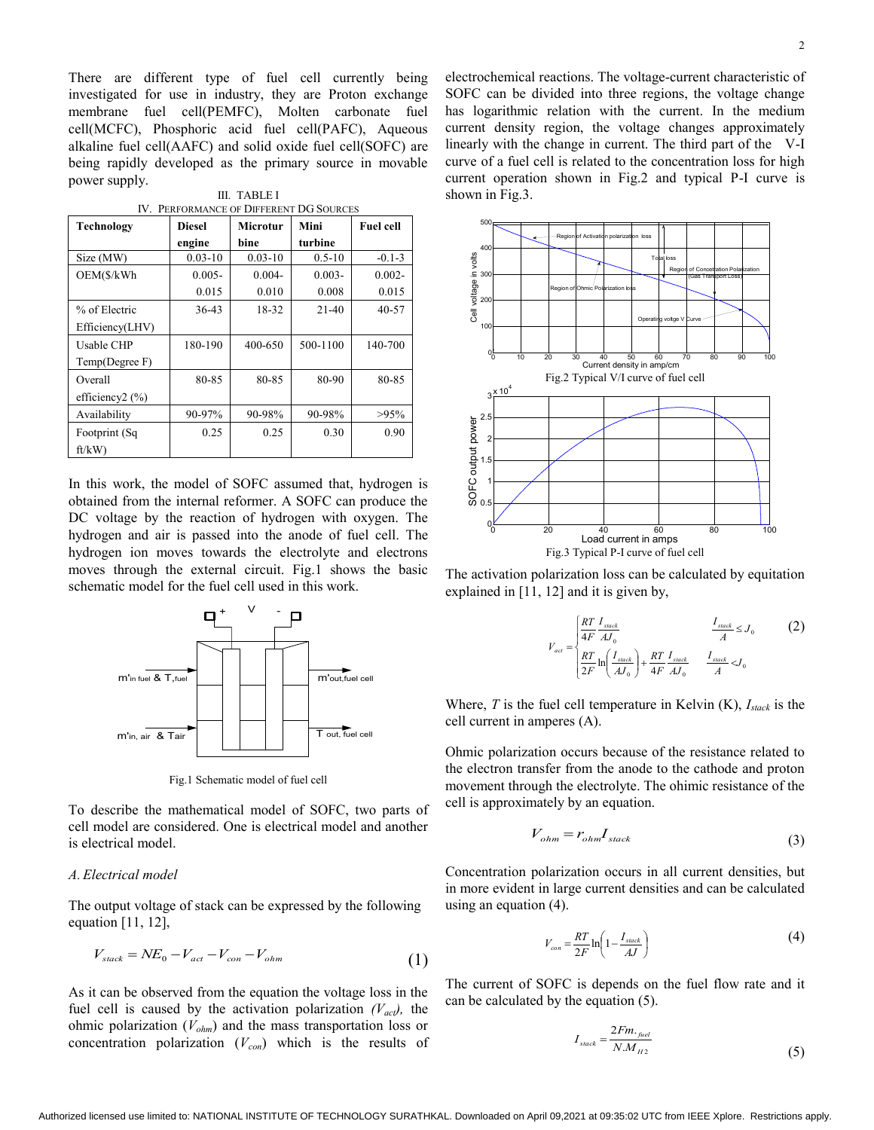There are different type of fuel cell currently being investigated for use in industry, they are Proton exchange membrane fuel cell(PEMFC), Molten carbonate fuel cell(MCFC), Phosphoric acid fuel cell(PAFC), Aqueous alkaline fuel cell(AAFC) and solid oxide fuel cell(SOFC) are being rapidly developed as the primary source in movable power supply.

| IV. PERFORMANCE OF DIFFERENT DG SOURCES |               |             |            |                  |
|-----------------------------------------|---------------|-------------|------------|------------------|
| Technology                              | <b>Diesel</b> | Microtur    | Mini       | <b>Fuel cell</b> |
|                                         | engine        | hine        | turbine    |                  |
| Size (MW)                               | $0.03 - 10$   | $0.03 - 10$ | $0.5 - 10$ | $-0.1 - 3$       |
| OEM(\$/kWh                              | $0.005 -$     | $0.004 -$   | $0.003 -$  | $0.002 -$        |
|                                         | 0.015         | 0.010       | 0.008      | 0.015            |
| % of Electric                           | 36-43         | 18-32       | $21-40$    | 40-57            |
| Efficiency(LHV)                         |               |             |            |                  |
| <b>Usable CHP</b>                       | 180-190       | 400-650     | 500-1100   | 140-700          |
| Temp(Degree F)                          |               |             |            |                  |
| Overall                                 | 80-85         | 80-85       | 80-90      | 80-85            |
| efficiency2 $(\% )$                     |               |             |            |                  |
| Availability                            | 90-97%        | 90-98%      | 90-98%     | $>95\%$          |
| Footprint (Sq                           | 0.25          | 0.25        | 0.30       | 0.90             |
| ft/kW)                                  |               |             |            |                  |

III. TABLE I

In this work, the model of SOFC assumed that, hydrogen is obtained from the internal reformer. A SOFC can produce the DC voltage by the reaction of hydrogen with oxygen. The hydrogen and air is passed into the anode of fuel cell. The hydrogen ion moves towards the electrolyte and electrons moves through the external circuit. Fig.1 shows the basic schematic model for the fuel cell used in this work.



Fig.1 Schematic model of fuel cell

To describe the mathematical model of SOFC, two parts of cell model are considered. One is electrical model and another is electrical model.

# *A.Electrical model*

The output voltage of stack can be expressed by the following equation [11, 12],

$$
V_{stack} = NE_0 - V_{act} - V_{con} - V_{ohm}
$$
\n<sup>(1)</sup>

As it can be observed from the equation the voltage loss in the fuel cell is caused by the activation polarization  $(V_{act})$ , the ohmic polarization (*Vohm*) and the mass transportation loss or concentration polarization  $(V_{con})$  which is the results of electrochemical reactions. The voltage-current characteristic of SOFC can be divided into three regions, the voltage change has logarithmic relation with the current. In the medium current density region, the voltage changes approximately linearly with the change in current. The third part of the V-I curve of a fuel cell is related to the concentration loss for high current operation shown in Fig.2 and typical P-I curve is shown in Fig.3.



The activation polarization loss can be calculated by equitation explained in [11, 12] and it is given by,

$$
V_{act} = \begin{cases} \frac{RT}{4F} \frac{I_{stack}}{AJ_0} & \frac{I_{stack}}{A} \le J_0 \\ \frac{RT}{2F} \ln \left( \frac{I_{stack}}{AJ_0} \right) + \frac{RT}{4F} \frac{I_{stack}}{AJ_0} & \frac{I_{stack}}{A} < J_0 \end{cases} \tag{2}
$$

Where, *T* is the fuel cell temperature in Kelvin (K), *Istack* is the cell current in amperes (A).

Ohmic polarization occurs because of the resistance related to the electron transfer from the anode to the cathode and proton movement through the electrolyte. The ohimic resistance of the cell is approximately by an equation.

$$
V_{ohm} = r_{ohm} I_{stack}
$$
 (3)

Concentration polarization occurs in all current densities, but in more evident in large current densities and can be calculated using an equation (4).

$$
V_{con} = \frac{RT}{2F} \ln \left( 1 - \frac{I_{stack}}{AJ} \right) \tag{4}
$$

The current of SOFC is depends on the fuel flow rate and it can be calculated by the equation (5).

$$
I_{\text{stack}} = \frac{2Fm_{\text{field}}}{NM_{H2}}
$$
\n<sup>(5)</sup>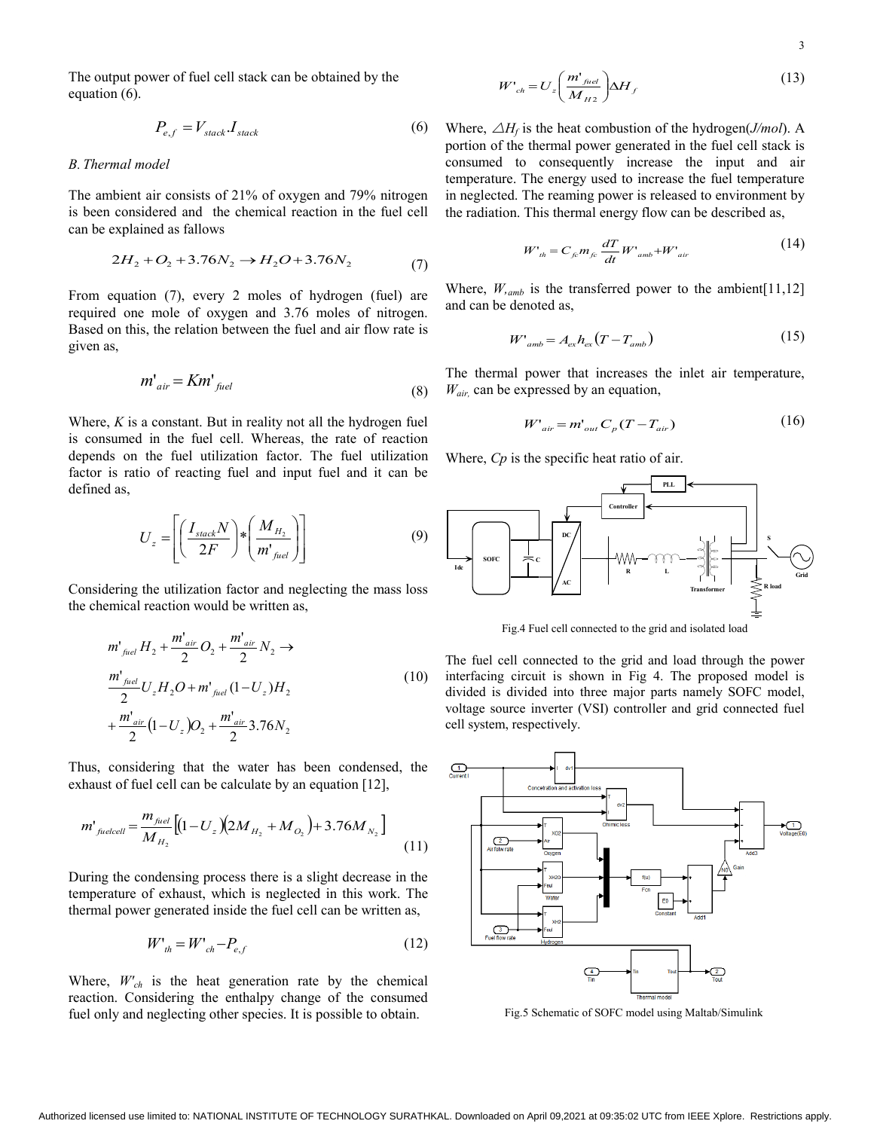The output power of fuel cell stack can be obtained by the equation (6).

$$
P_{e,f} = V_{stack} I_{stack} \tag{6}
$$

### *B. Thermal model*

The ambient air consists of 21% of oxygen and 79% nitrogen is been considered and the chemical reaction in the fuel cell can be explained as fallows

$$
2H_2 + O_2 + 3.76N_2 \rightarrow H_2O + 3.76N_2 \tag{7}
$$

From equation (7), every 2 moles of hydrogen (fuel) are required one mole of oxygen and 3.76 moles of nitrogen. Based on this, the relation between the fuel and air flow rate is given as,

$$
m'_{air} = Km'_{fuel} \tag{8}
$$

Where, *K* is a constant. But in reality not all the hydrogen fuel is consumed in the fuel cell. Whereas, the rate of reaction depends on the fuel utilization factor. The fuel utilization factor is ratio of reacting fuel and input fuel and it can be defined as,

$$
U_z = \left[ \left( \frac{I_{stack} N}{2F} \right) * \left( \frac{M_{H_2}}{m'_{field}} \right) \right]
$$
 (9)

Considering the utilization factor and neglecting the mass loss the chemical reaction would be written as,

$$
m'_{\text{fuel}} H_2 + \frac{m'_{\text{air}}}{2} O_2 + \frac{m'_{\text{air}}}{2} N_2 \rightarrow
$$
  

$$
\frac{m'_{\text{fuel}}}{2} U_z H_2 O + m'_{\text{fuel}} (1 - U_z) H_2
$$
  

$$
+ \frac{m'_{\text{air}}}{2} (1 - U_z) O_2 + \frac{m'_{\text{air}}}{2} 3.76 N_2
$$
 (10)

Thus, considering that the water has been condensed, the exhaust of fuel cell can be calculate by an equation [12],

$$
m'_{\text{fueleell}} = \frac{m_{\text{fue}l}}{M_{H_2}} \left[ (1 - U_z)(2M_{H_2} + M_{O_2}) + 3.76M_{N_2} \right]
$$
(11)

During the condensing process there is a slight decrease in the temperature of exhaust, which is neglected in this work. The thermal power generated inside the fuel cell can be written as,

$$
W_{th} = W_{ch} - P_{e,f} \tag{12}
$$

Where, *W'ch* is the heat generation rate by the chemical reaction. Considering the enthalpy change of the consumed fuel only and neglecting other species. It is possible to obtain.

$$
W_{ch} = U_z \left(\frac{m'_{\text{field}}}{M_{H2}}\right) \Delta H_f \tag{13}
$$

Where,  $\Delta H_f$  is the heat combustion of the hydrogen(*J/mol*). A portion of the thermal power generated in the fuel cell stack is consumed to consequently increase the input and air temperature. The energy used to increase the fuel temperature in neglected. The reaming power is released to environment by the radiation. This thermal energy flow can be described as,

$$
W_{th} = C_{fc} m_{fc} \frac{dT}{dt} W_{amb} + W_{air}
$$
 (14)

Where,  $W_{\text{r}}$  is the transferred power to the ambient[11,12] and can be denoted as,

$$
W'_{amb} = A_{ex} h_{ex} (T - T_{amb}) \tag{15}
$$

The thermal power that increases the inlet air temperature, *Wair,* can be expressed by an equation,

$$
W'_{air} = m'_{out} C_p (T - T_{air}) \tag{16}
$$

Where, *Cp* is the specific heat ratio of air.



Fig.4 Fuel cell connected to the grid and isolated load

The fuel cell connected to the grid and load through the power interfacing circuit is shown in Fig 4. The proposed model is divided is divided into three major parts namely SOFC model, voltage source inverter (VSI) controller and grid connected fuel cell system, respectively.



Fig.5 Schematic of SOFC model using Maltab/Simulink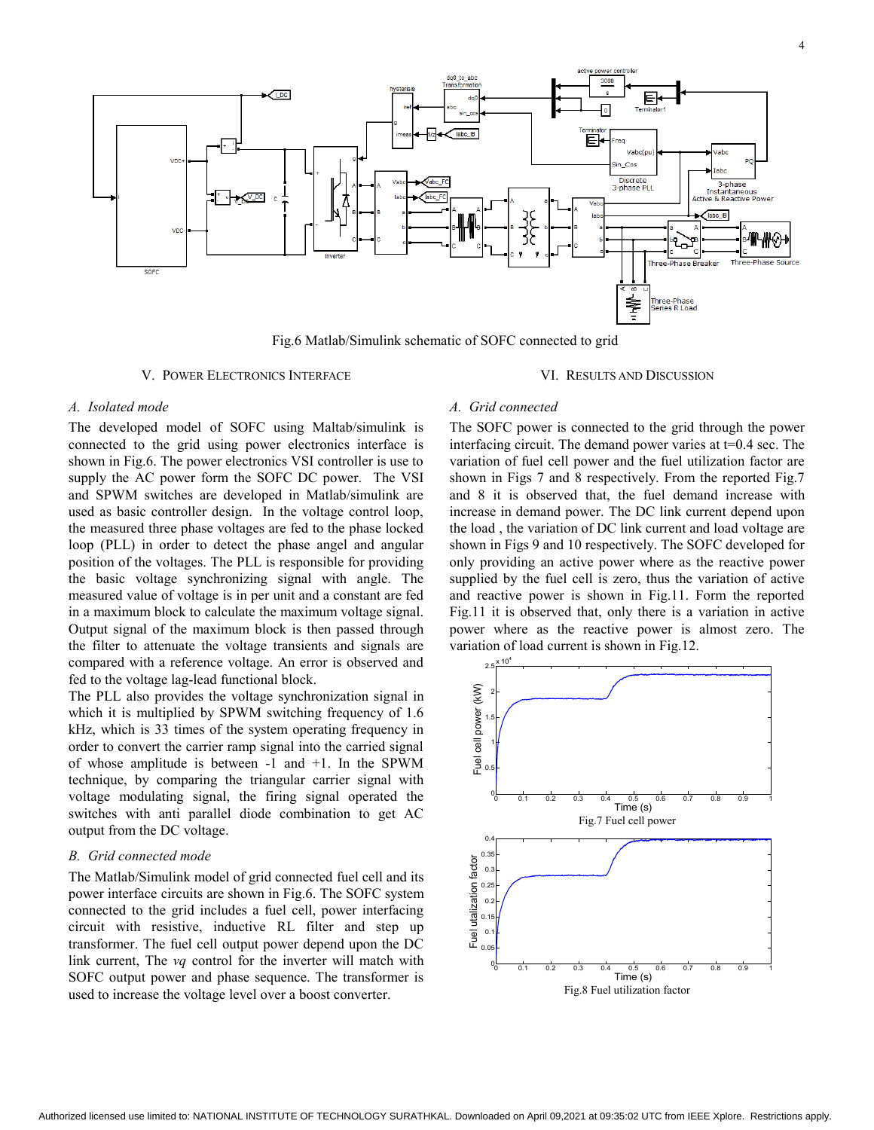

Fig.6 Matlab/Simulink schematic of SOFC connected to grid

### V. POWER ELECTRONICS INTERFACE

### VI. RESULTS AND DISCUSSION

# *A. Isolated mode*

The developed model of SOFC using Maltab/simulink is connected to the grid using power electronics interface is shown in Fig.6. The power electronics VSI controller is use to supply the AC power form the SOFC DC power. The VSI and SPWM switches are developed in Matlab/simulink are used as basic controller design. In the voltage control loop, the measured three phase voltages are fed to the phase locked loop (PLL) in order to detect the phase angel and angular position of the voltages. The PLL is responsible for providing the basic voltage synchronizing signal with angle. The measured value of voltage is in per unit and a constant are fed in a maximum block to calculate the maximum voltage signal. Output signal of the maximum block is then passed through the filter to attenuate the voltage transients and signals are compared with a reference voltage. An error is observed and fed to the voltage lag-lead functional block.

The PLL also provides the voltage synchronization signal in which it is multiplied by SPWM switching frequency of 1.6 kHz, which is 33 times of the system operating frequency in order to convert the carrier ramp signal into the carried signal of whose amplitude is between -1 and +1. In the SPWM technique, by comparing the triangular carrier signal with voltage modulating signal, the firing signal operated the switches with anti parallel diode combination to get AC output from the DC voltage.

# *B. Grid connected mode*

The Matlab/Simulink model of grid connected fuel cell and its power interface circuits are shown in Fig.6. The SOFC system connected to the grid includes a fuel cell, power interfacing circuit with resistive, inductive RL filter and step up transformer. The fuel cell output power depend upon the DC link current, The *vq* control for the inverter will match with SOFC output power and phase sequence. The transformer is used to increase the voltage level over a boost converter.

# *A. Grid connected*

The SOFC power is connected to the grid through the power interfacing circuit. The demand power varies at t=0.4 sec. The variation of fuel cell power and the fuel utilization factor are shown in Figs 7 and 8 respectively. From the reported Fig.7 and 8 it is observed that, the fuel demand increase with increase in demand power. The DC link current depend upon the load , the variation of DC link current and load voltage are shown in Figs 9 and 10 respectively. The SOFC developed for only providing an active power where as the reactive power supplied by the fuel cell is zero, thus the variation of active and reactive power is shown in Fig.11. Form the reported Fig.11 it is observed that, only there is a variation in active power where as the reactive power is almost zero. The variation of load current is shown in Fig.12.

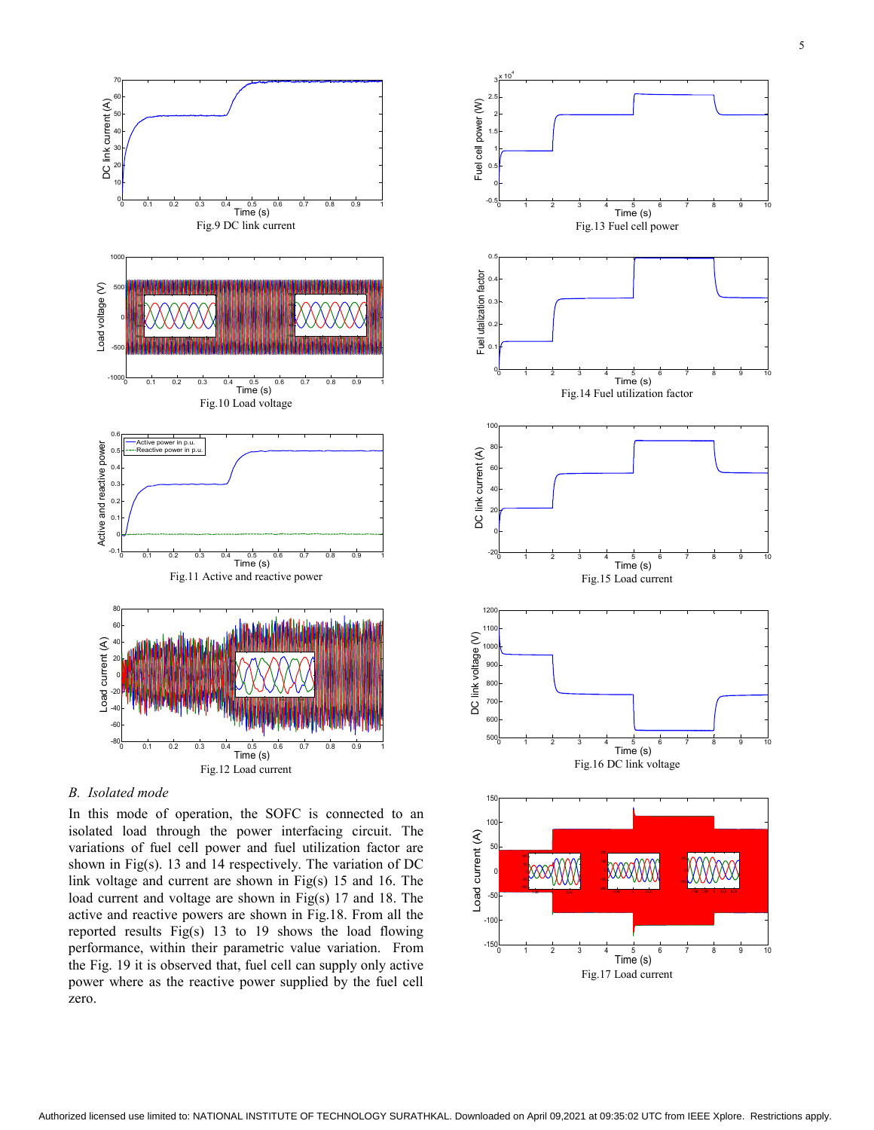

# *B. Isolated mode*

In this mode of operation, the SOFC is connected to an isolated load through the power interfacing circuit. The variations of fuel cell power and fuel utilization factor are shown in Fig(s). 13 and 14 respectively. The variation of DC link voltage and current are shown in Fig(s) 15 and 16. The load current and voltage are shown in Fig(s) 17 and 18. The active and reactive powers are shown in Fig.18. From all the reported results Fig(s) 13 to 19 shows the load flowing performance, within their parametric value variation. From the Fig. 19 it is observed that, fuel cell can supply only active power where as the reactive power supplied by the fuel cell zero.